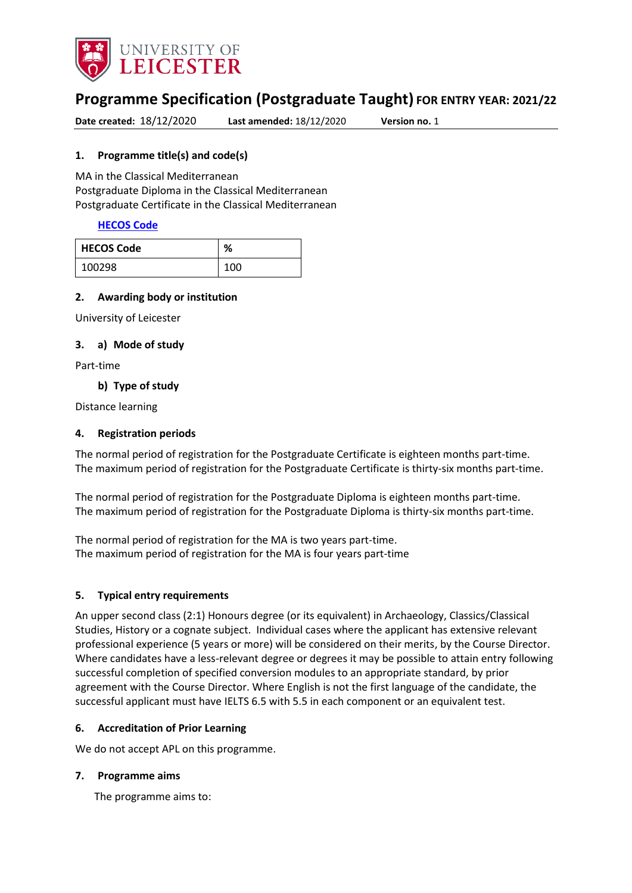

# **Programme Specification (Postgraduate Taught) FOR ENTRY YEAR: 2021/22**

**Date created:** 18/12/2020 **Last amended:** 18/12/2020 **Version no.** 1

#### <span id="page-0-0"></span>**1. Programme title(s) and code(s)**

MA in the Classical Mediterranean Postgraduate Diploma in the Classical Mediterranean Postgraduate Certificate in the Classical Mediterranean

#### **[HECOS Code](https://www.hesa.ac.uk/innovation/hecos)**

| <b>HECOS Code</b> | %   |
|-------------------|-----|
| 100298            | 100 |

#### **2. Awarding body or institution**

University of Leicester

#### **3. a) Mode of study**

Part-time

#### **b) Type of study**

Distance learning

#### **4. Registration periods**

The normal period of registration for the Postgraduate Certificate is eighteen months part-time. The maximum period of registration for the Postgraduate Certificate is thirty-six months part-time.

The normal period of registration for the Postgraduate Diploma is eighteen months part-time. The maximum period of registration for the Postgraduate Diploma is thirty-six months part-time.

The normal period of registration for the MA is two years part-time. The maximum period of registration for the MA is four years part-time

#### **5. Typical entry requirements**

An upper second class (2:1) Honours degree (or its equivalent) in Archaeology, Classics/Classical Studies, History or a cognate subject. Individual cases where the applicant has extensive relevant professional experience (5 years or more) will be considered on their merits, by the Course Director. Where candidates have a less-relevant degree or degrees it may be possible to attain entry following successful completion of specified conversion modules to an appropriate standard, by prior agreement with the Course Director. Where English is not the first language of the candidate, the successful applicant must have IELTS 6.5 with 5.5 in each component or an equivalent test.

#### **6. Accreditation of Prior Learning**

We do not accept APL on this programme.

#### **7. Programme aims**

The programme aims to: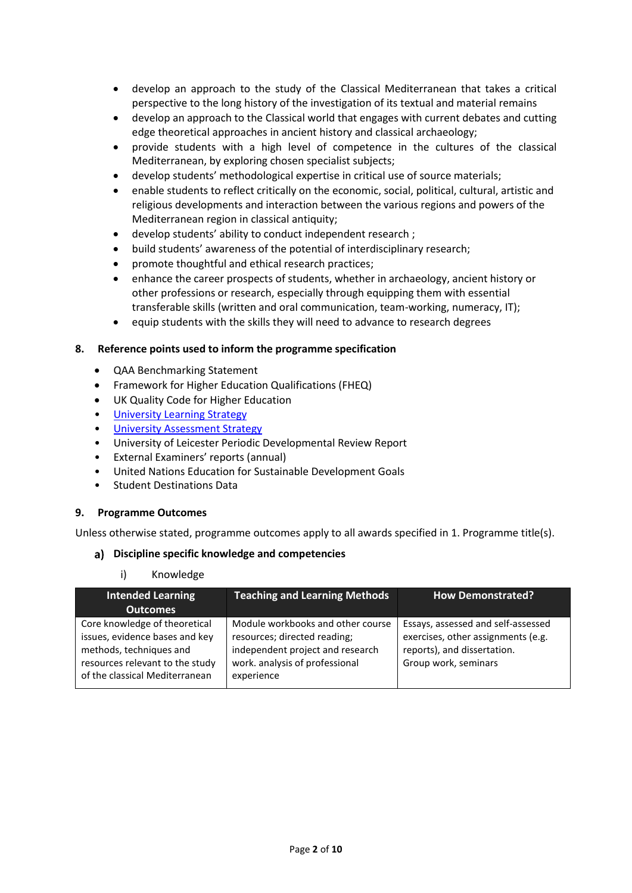- develop an approach to the study of the Classical Mediterranean that takes a critical perspective to the long history of the investigation of its textual and material remains
- develop an approach to the Classical world that engages with current debates and cutting edge theoretical approaches in ancient history and classical archaeology;
- provide students with a high level of competence in the cultures of the classical Mediterranean, by exploring chosen specialist subjects;
- develop students' methodological expertise in critical use of source materials;
- enable students to reflect critically on the economic, social, political, cultural, artistic and religious developments and interaction between the various regions and powers of the Mediterranean region in classical antiquity;
- develop students' ability to conduct independent research ;
- build students' awareness of the potential of interdisciplinary research;
- promote thoughtful and ethical research practices;
- enhance the career prospects of students, whether in archaeology, ancient history or other professions or research, especially through equipping them with essential transferable skills (written and oral communication, team-working, numeracy, IT);
- equip students with the skills they will need to advance to research degrees

#### **8. Reference points used to inform the programme specification**

- QAA Benchmarking Statement
- Framework for Higher Education Qualifications (FHEQ)
- UK Quality Code for Higher Education
- [University Learning](https://www2.le.ac.uk/offices/sas2/quality/learnteach) Strategy
- [University Assessment Strategy](https://www2.le.ac.uk/offices/sas2/quality/learnteach)
- University of Leicester Periodic Developmental Review Report
- External Examiners' reports (annual)
- United Nations Education for Sustainable Development Goals
- Student Destinations Data

#### **9. Programme Outcomes**

Unless otherwise stated, programme outcomes apply to all awards specified in [1.](#page-0-0) Programme title(s).

#### **Discipline specific knowledge and competencies**

i) Knowledge

| <b>Intended Learning</b><br><b>Outcomes</b>                                                                                                                     | <b>Teaching and Learning Methods</b>                                                                                                                  | <b>How Demonstrated?</b>                                                                                                        |
|-----------------------------------------------------------------------------------------------------------------------------------------------------------------|-------------------------------------------------------------------------------------------------------------------------------------------------------|---------------------------------------------------------------------------------------------------------------------------------|
| Core knowledge of theoretical<br>issues, evidence bases and key<br>methods, techniques and<br>resources relevant to the study<br>of the classical Mediterranean | Module workbooks and other course<br>resources; directed reading;<br>independent project and research<br>work. analysis of professional<br>experience | Essays, assessed and self-assessed<br>exercises, other assignments (e.g.<br>reports), and dissertation.<br>Group work, seminars |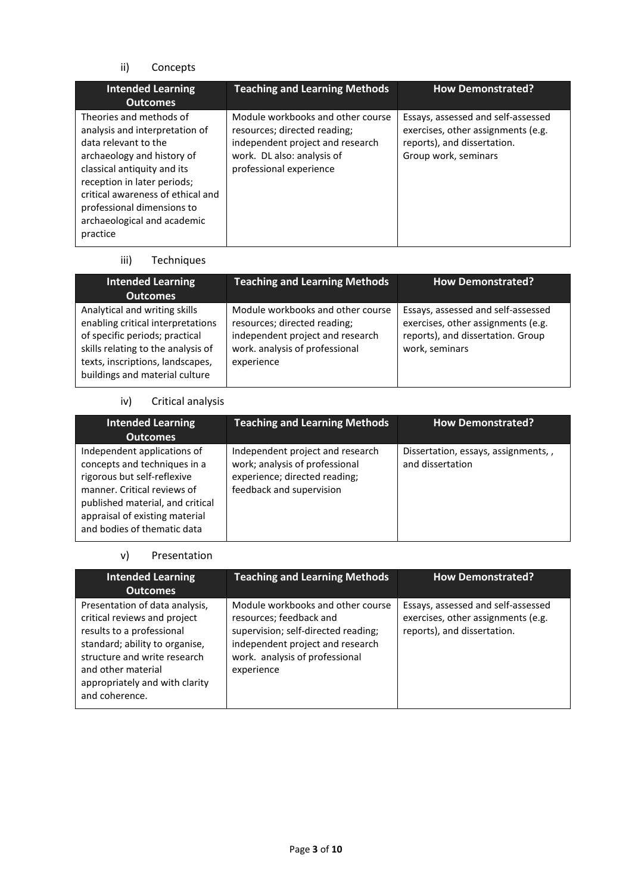# ii) Concepts

| <b>Intended Learning</b><br><b>Outcomes</b>                                                                                                                                                                                                                                                 | <b>Teaching and Learning Methods</b>                                                                                                                           | <b>How Demonstrated?</b>                                                                                                        |
|---------------------------------------------------------------------------------------------------------------------------------------------------------------------------------------------------------------------------------------------------------------------------------------------|----------------------------------------------------------------------------------------------------------------------------------------------------------------|---------------------------------------------------------------------------------------------------------------------------------|
| Theories and methods of<br>analysis and interpretation of<br>data relevant to the<br>archaeology and history of<br>classical antiquity and its<br>reception in later periods;<br>critical awareness of ethical and<br>professional dimensions to<br>archaeological and academic<br>practice | Module workbooks and other course<br>resources; directed reading;<br>independent project and research<br>work. DL also: analysis of<br>professional experience | Essays, assessed and self-assessed<br>exercises, other assignments (e.g.<br>reports), and dissertation.<br>Group work, seminars |

#### iii) Techniques

| <b>Intended Learning</b><br><b>Outcomes</b>                                                                                                                                                                      | <b>Teaching and Learning Methods</b>                                                                                                                  | <b>How Demonstrated?</b>                                                                                                        |
|------------------------------------------------------------------------------------------------------------------------------------------------------------------------------------------------------------------|-------------------------------------------------------------------------------------------------------------------------------------------------------|---------------------------------------------------------------------------------------------------------------------------------|
| Analytical and writing skills<br>enabling critical interpretations<br>of specific periods; practical<br>skills relating to the analysis of<br>texts, inscriptions, landscapes,<br>buildings and material culture | Module workbooks and other course<br>resources; directed reading;<br>independent project and research<br>work. analysis of professional<br>experience | Essays, assessed and self-assessed<br>exercises, other assignments (e.g.<br>reports), and dissertation. Group<br>work, seminars |

# iv) Critical analysis

| <b>Intended Learning</b><br><b>Outcomes</b>                                                                                                                                                                                    | <b>Teaching and Learning Methods</b>                                                                                            | <b>How Demonstrated?</b>                                |
|--------------------------------------------------------------------------------------------------------------------------------------------------------------------------------------------------------------------------------|---------------------------------------------------------------------------------------------------------------------------------|---------------------------------------------------------|
| Independent applications of<br>concepts and techniques in a<br>rigorous but self-reflexive<br>manner. Critical reviews of<br>published material, and critical<br>appraisal of existing material<br>and bodies of thematic data | Independent project and research<br>work; analysis of professional<br>experience; directed reading;<br>feedback and supervision | Dissertation, essays, assignments,,<br>and dissertation |

# v) Presentation

| <b>Intended Learning</b><br><b>Outcomes</b>                                                                                                                                                                                             | <b>Teaching and Learning Methods</b>                                                                                                                                                    | <b>How Demonstrated?</b>                                                                                |
|-----------------------------------------------------------------------------------------------------------------------------------------------------------------------------------------------------------------------------------------|-----------------------------------------------------------------------------------------------------------------------------------------------------------------------------------------|---------------------------------------------------------------------------------------------------------|
| Presentation of data analysis,<br>critical reviews and project<br>results to a professional<br>standard; ability to organise,<br>structure and write research<br>and other material<br>appropriately and with clarity<br>and coherence. | Module workbooks and other course<br>resources; feedback and<br>supervision; self-directed reading;<br>independent project and research<br>work. analysis of professional<br>experience | Essays, assessed and self-assessed<br>exercises, other assignments (e.g.<br>reports), and dissertation. |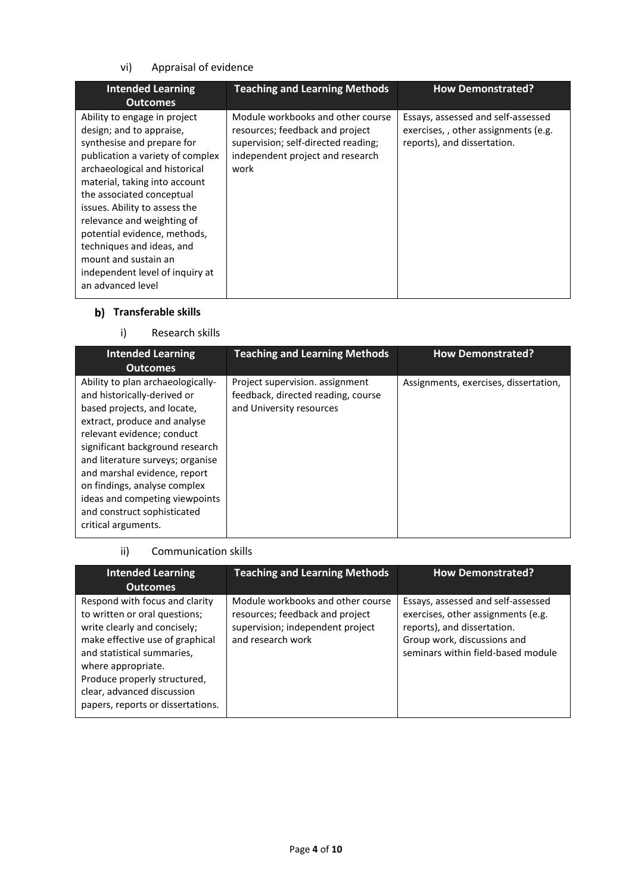# vi) Appraisal of evidence

| <b>Intended Learning</b><br><b>Outcomes</b>                                                                                                                                                                                                                                                                                                                                                                                           | <b>Teaching and Learning Methods</b>                                                                                                                    | <b>How Demonstrated?</b>                                                                                 |
|---------------------------------------------------------------------------------------------------------------------------------------------------------------------------------------------------------------------------------------------------------------------------------------------------------------------------------------------------------------------------------------------------------------------------------------|---------------------------------------------------------------------------------------------------------------------------------------------------------|----------------------------------------------------------------------------------------------------------|
| Ability to engage in project<br>design; and to appraise,<br>synthesise and prepare for<br>publication a variety of complex<br>archaeological and historical<br>material, taking into account<br>the associated conceptual<br>issues. Ability to assess the<br>relevance and weighting of<br>potential evidence, methods,<br>techniques and ideas, and<br>mount and sustain an<br>independent level of inquiry at<br>an advanced level | Module workbooks and other course<br>resources; feedback and project<br>supervision; self-directed reading;<br>independent project and research<br>work | Essays, assessed and self-assessed<br>exercises,, other assignments (e.g.<br>reports), and dissertation. |

# **b)** Transferable skills

# i) Research skills

| <b>Intended Learning</b><br><b>Outcomes</b>                                                                                                                                                                                                                                                                                                                                                  | <b>Teaching and Learning Methods</b>                                                              | <b>How Demonstrated?</b>              |
|----------------------------------------------------------------------------------------------------------------------------------------------------------------------------------------------------------------------------------------------------------------------------------------------------------------------------------------------------------------------------------------------|---------------------------------------------------------------------------------------------------|---------------------------------------|
| Ability to plan archaeologically-<br>and historically-derived or<br>based projects, and locate,<br>extract, produce and analyse<br>relevant evidence; conduct<br>significant background research<br>and literature surveys; organise<br>and marshal evidence, report<br>on findings, analyse complex<br>ideas and competing viewpoints<br>and construct sophisticated<br>critical arguments. | Project supervision. assignment<br>feedback, directed reading, course<br>and University resources | Assignments, exercises, dissertation, |

## ii) Communication skills

| <b>Intended Learning</b><br><b>Outcomes</b>                                                                                                                                                                                                                                               | <b>Teaching and Learning Methods</b>                                                                                          | <b>How Demonstrated?</b>                                                                                                                                                     |
|-------------------------------------------------------------------------------------------------------------------------------------------------------------------------------------------------------------------------------------------------------------------------------------------|-------------------------------------------------------------------------------------------------------------------------------|------------------------------------------------------------------------------------------------------------------------------------------------------------------------------|
| Respond with focus and clarity<br>to written or oral questions;<br>write clearly and concisely;<br>make effective use of graphical<br>and statistical summaries,<br>where appropriate.<br>Produce properly structured,<br>clear, advanced discussion<br>papers, reports or dissertations. | Module workbooks and other course<br>resources; feedback and project<br>supervision; independent project<br>and research work | Essays, assessed and self-assessed<br>exercises, other assignments (e.g.<br>reports), and dissertation.<br>Group work, discussions and<br>seminars within field-based module |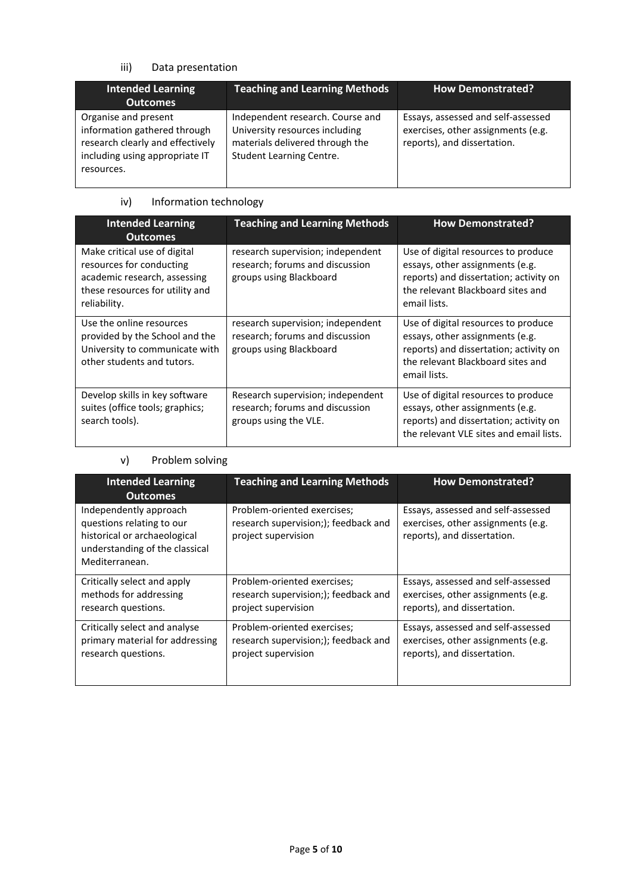# iii) Data presentation

| <b>Intended Learning</b><br><b>Outcomes</b>                                                                                              | <b>Teaching and Learning Methods</b>                                                                                              | <b>How Demonstrated?</b>                                                                                |
|------------------------------------------------------------------------------------------------------------------------------------------|-----------------------------------------------------------------------------------------------------------------------------------|---------------------------------------------------------------------------------------------------------|
| Organise and present<br>information gathered through<br>research clearly and effectively<br>including using appropriate IT<br>resources. | Independent research. Course and<br>University resources including<br>materials delivered through the<br>Student Learning Centre. | Essays, assessed and self-assessed<br>exercises, other assignments (e.g.<br>reports), and dissertation. |

# iv) Information technology

| <b>Intended Learning</b><br><b>Outcomes</b>                                                                                                 | <b>Teaching and Learning Methods</b>                                                            | <b>How Demonstrated?</b>                                                                                                                                              |
|---------------------------------------------------------------------------------------------------------------------------------------------|-------------------------------------------------------------------------------------------------|-----------------------------------------------------------------------------------------------------------------------------------------------------------------------|
| Make critical use of digital<br>resources for conducting<br>academic research, assessing<br>these resources for utility and<br>reliability. | research supervision; independent<br>research; forums and discussion<br>groups using Blackboard | Use of digital resources to produce<br>essays, other assignments (e.g.<br>reports) and dissertation; activity on<br>the relevant Blackboard sites and<br>email lists. |
| Use the online resources<br>provided by the School and the<br>University to communicate with<br>other students and tutors.                  | research supervision; independent<br>research; forums and discussion<br>groups using Blackboard | Use of digital resources to produce<br>essays, other assignments (e.g.<br>reports) and dissertation; activity on<br>the relevant Blackboard sites and<br>email lists. |
| Develop skills in key software<br>suites (office tools; graphics;<br>search tools).                                                         | Research supervision; independent<br>research; forums and discussion<br>groups using the VLE.   | Use of digital resources to produce<br>essays, other assignments (e.g.<br>reports) and dissertation; activity on<br>the relevant VLE sites and email lists.           |

# v) Problem solving

| <b>Intended Learning</b><br><b>Outcomes</b>                                                                                             | <b>Teaching and Learning Methods</b>                                                       | <b>How Demonstrated?</b>                                                                                |
|-----------------------------------------------------------------------------------------------------------------------------------------|--------------------------------------------------------------------------------------------|---------------------------------------------------------------------------------------------------------|
| Independently approach<br>questions relating to our<br>historical or archaeological<br>understanding of the classical<br>Mediterranean. | Problem-oriented exercises;<br>research supervision;); feedback and<br>project supervision | Essays, assessed and self-assessed<br>exercises, other assignments (e.g.<br>reports), and dissertation. |
| Critically select and apply                                                                                                             | Problem-oriented exercises;                                                                | Essays, assessed and self-assessed                                                                      |
| methods for addressing                                                                                                                  | research supervision;); feedback and                                                       | exercises, other assignments (e.g.                                                                      |
| research questions.                                                                                                                     | project supervision                                                                        | reports), and dissertation.                                                                             |
| Critically select and analyse                                                                                                           | Problem-oriented exercises;                                                                | Essays, assessed and self-assessed                                                                      |
| primary material for addressing                                                                                                         | research supervision;); feedback and                                                       | exercises, other assignments (e.g.                                                                      |
| research questions.                                                                                                                     | project supervision                                                                        | reports), and dissertation.                                                                             |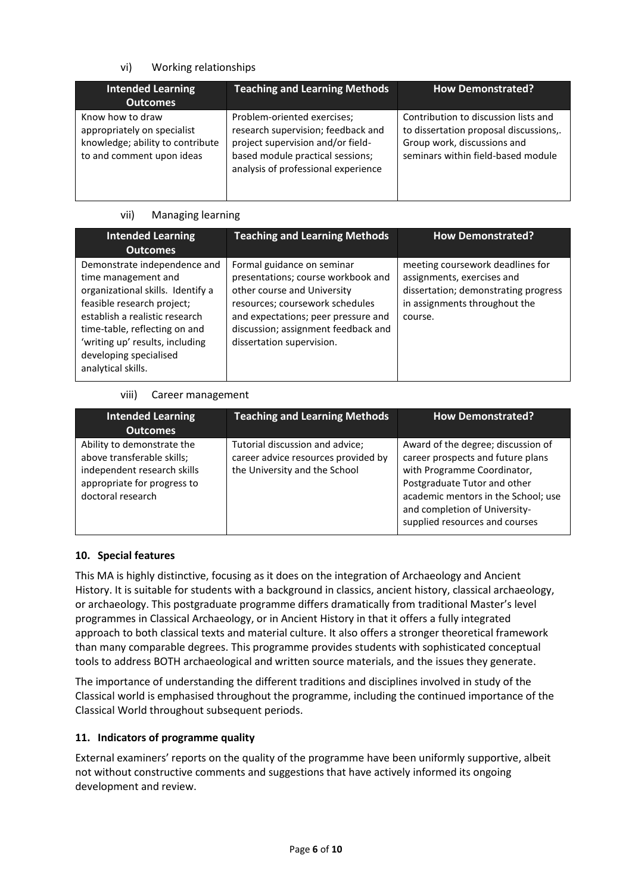# vi) Working relationships

| <b>Intended Learning</b><br><b>Outcomes</b>                                                                      | <b>Teaching and Learning Methods</b>                                                                                                                                              | <b>How Demonstrated?</b>                                                                                                                            |
|------------------------------------------------------------------------------------------------------------------|-----------------------------------------------------------------------------------------------------------------------------------------------------------------------------------|-----------------------------------------------------------------------------------------------------------------------------------------------------|
| Know how to draw<br>appropriately on specialist<br>knowledge; ability to contribute<br>to and comment upon ideas | Problem-oriented exercises;<br>research supervision; feedback and<br>project supervision and/or field-<br>based module practical sessions;<br>analysis of professional experience | Contribution to discussion lists and<br>to dissertation proposal discussions,.<br>Group work, discussions and<br>seminars within field-based module |

#### vii) Managing learning

| <b>Intended Learning</b><br><b>Outcomes</b>                                                                                                                                                                                                                                  | <b>Teaching and Learning Methods</b>                                                                                                                                                                                                          | <b>How Demonstrated?</b>                                                                                                                           |
|------------------------------------------------------------------------------------------------------------------------------------------------------------------------------------------------------------------------------------------------------------------------------|-----------------------------------------------------------------------------------------------------------------------------------------------------------------------------------------------------------------------------------------------|----------------------------------------------------------------------------------------------------------------------------------------------------|
| Demonstrate independence and<br>time management and<br>organizational skills. Identify a<br>feasible research project;<br>establish a realistic research<br>time-table, reflecting on and<br>'writing up' results, including<br>developing specialised<br>analytical skills. | Formal guidance on seminar<br>presentations; course workbook and<br>other course and University<br>resources; coursework schedules<br>and expectations; peer pressure and<br>discussion; assignment feedback and<br>dissertation supervision. | meeting coursework deadlines for<br>assignments, exercises and<br>dissertation; demonstrating progress<br>in assignments throughout the<br>course. |

#### viii) Career management

| <b>Intended Learning</b><br><b>Outcomes</b>                                                                                                 | <b>Teaching and Learning Methods</b>                                                                    | <b>How Demonstrated?</b>                                                                                                                                                                                                                         |
|---------------------------------------------------------------------------------------------------------------------------------------------|---------------------------------------------------------------------------------------------------------|--------------------------------------------------------------------------------------------------------------------------------------------------------------------------------------------------------------------------------------------------|
| Ability to demonstrate the<br>above transferable skills;<br>independent research skills<br>appropriate for progress to<br>doctoral research | Tutorial discussion and advice;<br>career advice resources provided by<br>the University and the School | Award of the degree; discussion of<br>career prospects and future plans<br>with Programme Coordinator,<br>Postgraduate Tutor and other<br>academic mentors in the School; use<br>and completion of University-<br>supplied resources and courses |

## **10. Special features**

This MA is highly distinctive, focusing as it does on the integration of Archaeology and Ancient History. It is suitable for students with a background in classics, ancient history, classical archaeology, or archaeology. This postgraduate programme differs dramatically from traditional Master's level programmes in Classical Archaeology, or in Ancient History in that it offers a fully integrated approach to both classical texts and material culture. It also offers a stronger theoretical framework than many comparable degrees. This programme provides students with sophisticated conceptual tools to address BOTH archaeological and written source materials, and the issues they generate.

The importance of understanding the different traditions and disciplines involved in study of the Classical world is emphasised throughout the programme, including the continued importance of the Classical World throughout subsequent periods.

## **11. Indicators of programme quality**

External examiners' reports on the quality of the programme have been uniformly supportive, albeit not without constructive comments and suggestions that have actively informed its ongoing development and review.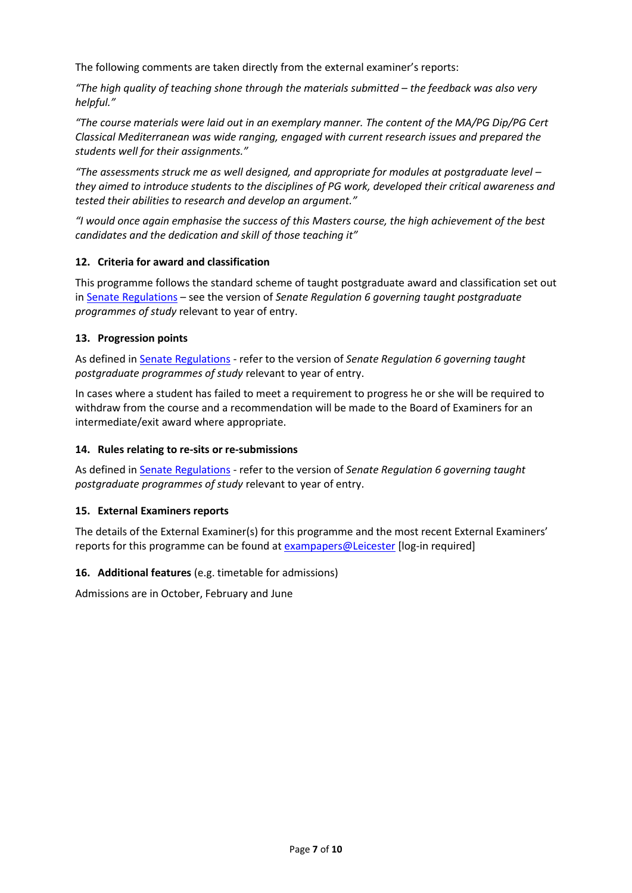The following comments are taken directly from the external examiner's reports:

*"The high quality of teaching shone through the materials submitted – the feedback was also very helpful."* 

*"The course materials were laid out in an exemplary manner. The content of the MA/PG Dip/PG Cert Classical Mediterranean was wide ranging, engaged with current research issues and prepared the students well for their assignments."*

*"The assessments struck me as well designed, and appropriate for modules at postgraduate level – they aimed to introduce students to the disciplines of PG work, developed their critical awareness and tested their abilities to research and develop an argument."*

*"I would once again emphasise the success of this Masters course, the high achievement of the best candidates and the dedication and skill of those teaching it"*

#### **12. Criteria for award and classification**

This programme follows the standard scheme of taught postgraduate award and classification set out i[n Senate Regulations](http://www.le.ac.uk/senate-regulations) – see the version of *Senate Regulation 6 governing taught postgraduate programmes of study* relevant to year of entry.

#### **13. Progression points**

As defined i[n Senate Regulations](http://www.le.ac.uk/senate-regulation6) - refer to the version of *Senate Regulation 6 governing taught postgraduate programmes of study* relevant to year of entry.

In cases where a student has failed to meet a requirement to progress he or she will be required to withdraw from the course and a recommendation will be made to the Board of Examiners for an intermediate/exit award where appropriate.

### **14. Rules relating to re-sits or re-submissions**

As defined i[n Senate Regulations](http://www.le.ac.uk/senate-regulation6) - refer to the version of *Senate Regulation 6 governing taught postgraduate programmes of study* relevant to year of entry.

#### **15. External Examiners reports**

The details of the External Examiner(s) for this programme and the most recent External Examiners' reports for this programme can be found at [exampapers@Leicester](https://exampapers.le.ac.uk/) [log-in required]

#### **16. Additional features** (e.g. timetable for admissions)

Admissions are in October, February and June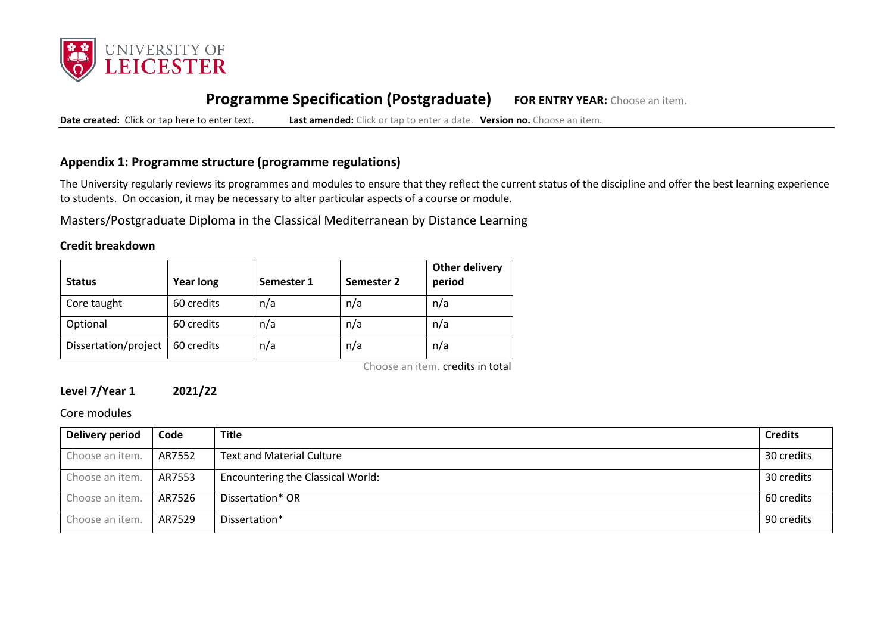

# **Programme Specification (Postgraduate) FOR ENTRY YEAR:** Choose an item.

**Date created:** Click or tap here to enter text. **Last amended:** Click or tap to enter a date. **Version no.** Choose an item.

# **Appendix 1: Programme structure (programme regulations)**

The University regularly reviews its programmes and modules to ensure that they reflect the current status of the discipline and offer the best learning experience to students. On occasion, it may be necessary to alter particular aspects of a course or module.

Masters/Postgraduate Diploma in the Classical Mediterranean by Distance Learning

#### **Credit breakdown**

| <b>Status</b>        | <b>Year long</b> | Semester 1 | Semester 2 | <b>Other delivery</b><br>period |
|----------------------|------------------|------------|------------|---------------------------------|
| Core taught          | 60 credits       | n/a        | n/a        | n/a                             |
| Optional             | 60 credits       | n/a        | n/a        | n/a                             |
| Dissertation/project | 60 credits       | n/a        | n/a        | n/a                             |

Choose an item. credits in total

# **Level 7/Year 1 2021/22**

Core modules

| <b>Delivery period</b> | Code   | <b>Title</b>                      | <b>Credits</b> |
|------------------------|--------|-----------------------------------|----------------|
| Choose an item.        | AR7552 | <b>Text and Material Culture</b>  | 30 credits     |
| Choose an item.        | AR7553 | Encountering the Classical World: | 30 credits     |
| Choose an item.        | AR7526 | Dissertation* OR                  | 60 credits     |
| Choose an item.        | AR7529 | Dissertation*                     | 90 credits     |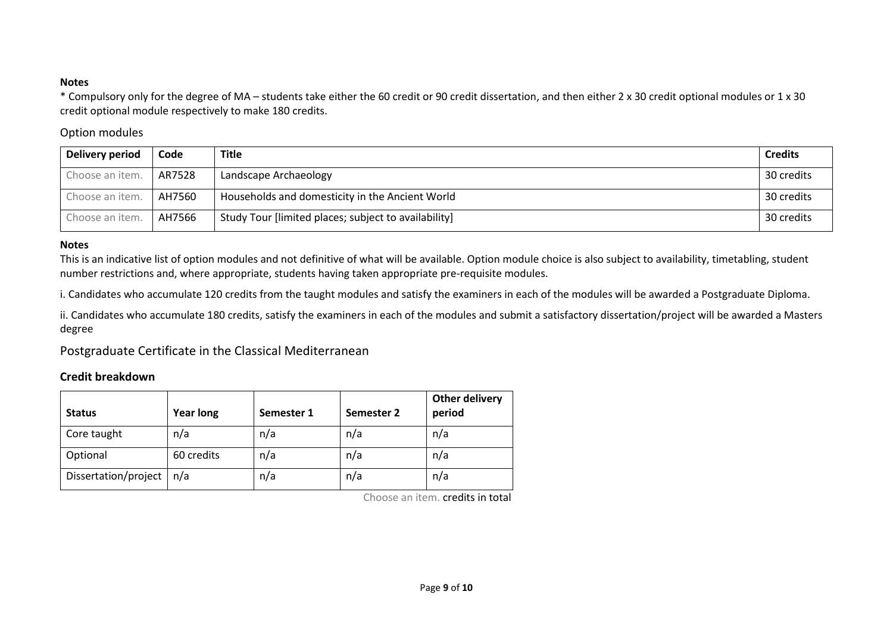### **Notes**

\* Compulsory only for the degree of MA – students take either the 60 credit or 90 credit dissertation, and then either 2 x 30 credit optional modules or 1 x 30 credit optional module respectively to make 180 credits.

## Option modules

| Delivery period | Code   | <b>Title</b>                                         | <b>Credits</b> |
|-----------------|--------|------------------------------------------------------|----------------|
| Choose an item. | AR7528 | Landscape Archaeology                                | 30 credits     |
| Choose an item. | AH7560 | Households and domesticity in the Ancient World      | 30 credits     |
| Choose an item. | AH7566 | Study Tour [limited places; subject to availability] | 30 credits     |

#### **Notes**

This is an indicative list of option modules and not definitive of what will be available. Option module choice is also subject to availability, timetabling, student number restrictions and, where appropriate, students having taken appropriate pre-requisite modules.

i. Candidates who accumulate 120 credits from the taught modules and satisfy the examiners in each of the modules will be awarded a Postgraduate Diploma.

ii. Candidates who accumulate 180 credits, satisfy the examiners in each of the modules and submit a satisfactory dissertation/project will be awarded a Masters degree

Postgraduate Certificate in the Classical Mediterranean

# **Credit breakdown**

| <b>Status</b>        | <b>Year long</b> | Semester 1 | Semester 2 | <b>Other delivery</b><br>period |
|----------------------|------------------|------------|------------|---------------------------------|
| Core taught          | n/a              | n/a        | n/a        | n/a                             |
| Optional             | 60 credits       | n/a        | n/a        | n/a                             |
| Dissertation/project | n/a              | n/a        | n/a        | n/a                             |

Choose an item. credits in total